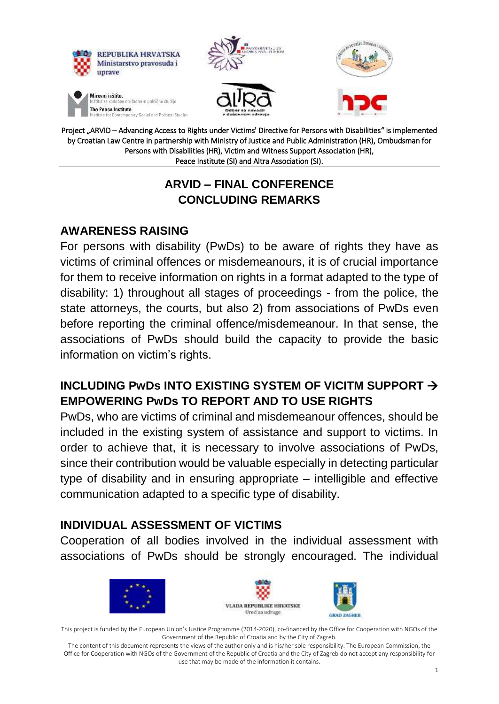

by Croatian Law Centre in partnership with Ministry of Justice and Public Administration (HR), Ombudsman for Persons with Disabilities (HR), Victim and Witness Support Association (HR), Peace Institute (SI) and Altra Association (SI).

# **ARVID – FINAL CONFERENCE CONCLUDING REMARKS**

### **AWARENESS RAISING**

For persons with disability (PwDs) to be aware of rights they have as victims of criminal offences or misdemeanours, it is of crucial importance for them to receive information on rights in a format adapted to the type of disability: 1) throughout all stages of proceedings - from the police, the state attorneys, the courts, but also 2) from associations of PwDs even before reporting the criminal offence/misdemeanour. In that sense, the associations of PwDs should build the capacity to provide the basic information on victim's rights.

## **INCLUDING PwDs INTO EXISTING SYSTEM OF VICITM SUPPORT EMPOWERING PwDs TO REPORT AND TO USE RIGHTS**

PwDs, who are victims of criminal and misdemeanour offences, should be included in the existing system of assistance and support to victims. In order to achieve that, it is necessary to involve associations of PwDs, since their contribution would be valuable especially in detecting particular type of disability and in ensuring appropriate – intelligible and effective communication adapted to a specific type of disability.

### **INDIVIDUAL ASSESSMENT OF VICTIMS**

Cooperation of all bodies involved in the individual assessment with associations of PwDs should be strongly encouraged. The individual







This project is funded by the European Union's Justice Programme (2014-2020), co-financed by the Office for Cooperation with NGOs of the Government of the Republic of Croatia and by the City of Zagreb.

The content of this document represents the views of the author only and is his/her sole responsibility. The European Commission, the Office for Cooperation with NGOs of the Government of the Republic of Croatia and the City of Zagreb do not accept any responsibility for use that may be made of the information it contains.